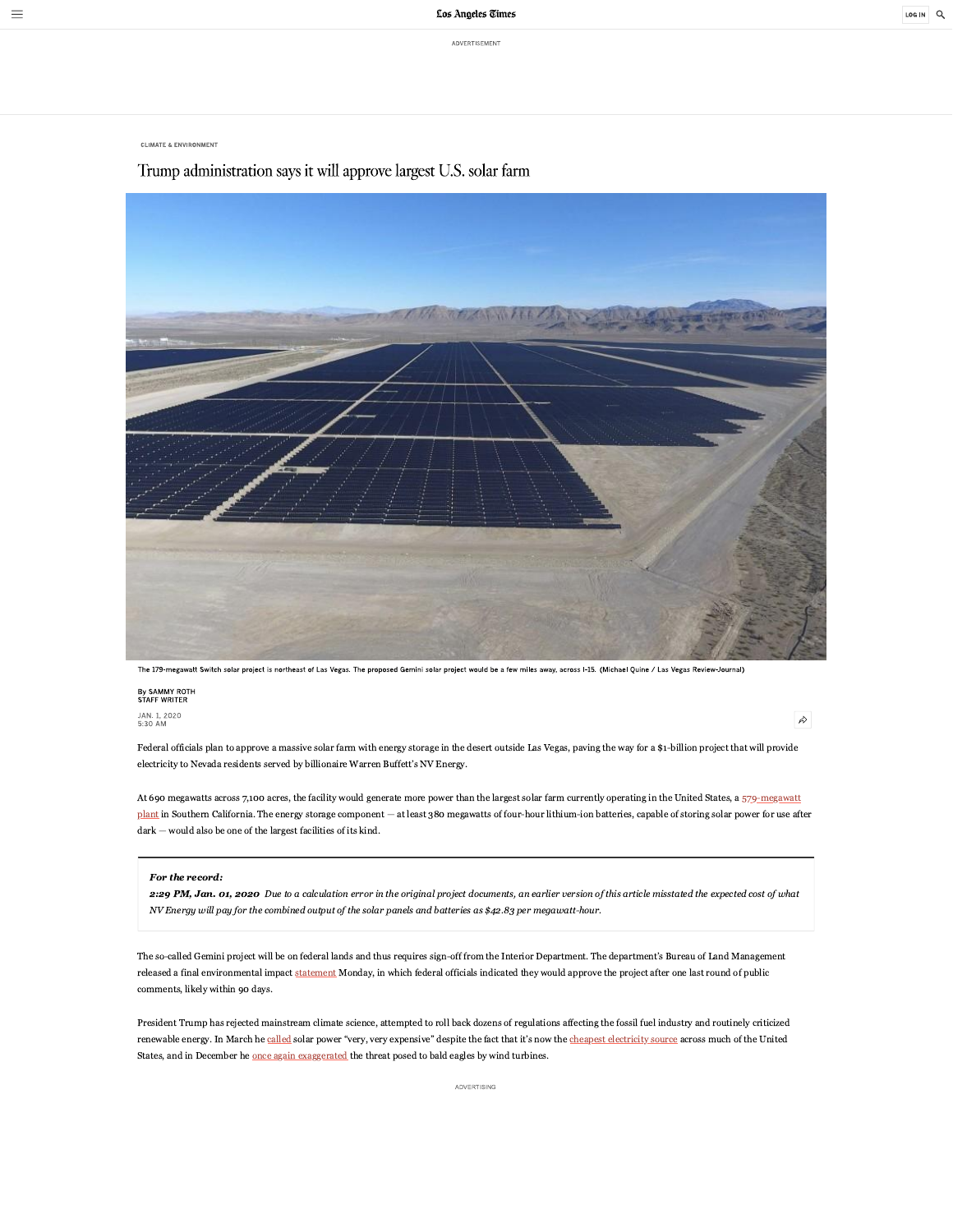ADVERTISEMENT

 $\equiv$ 

**CLIMATE & ENVIRONMENT** 

## Trump administration says it will approve largest U.S. solar farm



The 179-megawatt Switch solar project is northeast of Las Vegas. The proposed Gemini solar project would be a few miles away, across I-15. (Michael Quine / Las Vegas Review-Journal)

# By SAMMY ROTH<br>STAFF WRITER

JAN. 1, 2020<br>5:30 AM

 $\hat{\kappa}$ 

Federal officials plan to approve a massive solar farm with energy storage in the desert outside Las Vegas, paving the way for a \$1-billion project that will provide electricity to Nevada residents served by billionaire Warren Buffett's NV Energy.

At 690 megawatts across 7,100 acres, the facility would generate more power than the largest solar farm currently operating in the United States, a 579-megawatt plant in Southern California. The energy storage component - at least 380 megawatts of four-hour lithium-ion batteries, capable of storing solar power for use after  $dark -$  would also be one of the largest facilities of its kind.

#### For the record:

2:29 PM, Jan. 01, 2020 Due to a calculation error in the original project documents, an earlier version of this article misstated the expected cost of what NV Energy will pay for the combined output of the solar panels and batteries as \$42.83 per megawatt-hour.

The so-called Gemini project will be on federal lands and thus requires sign-off from the Interior Department. The department's Bureau of Land Management released a final environmental impact statement Monday, in which federal officials indicated they would approve the project after one last round of public comments, likely within 90 days.

President Trump has rejected mainstream climate science, attempted to roll back dozens of regulations affecting the fossil fuel industry and routinely criticized renewable energy. In March he called solar power "very, very expensive" despite the fact that it's now the cheapest electricity source across much of the United States, and in December he once again exaggerated the threat posed to bald eagles by wind turbines.

ADVERTISING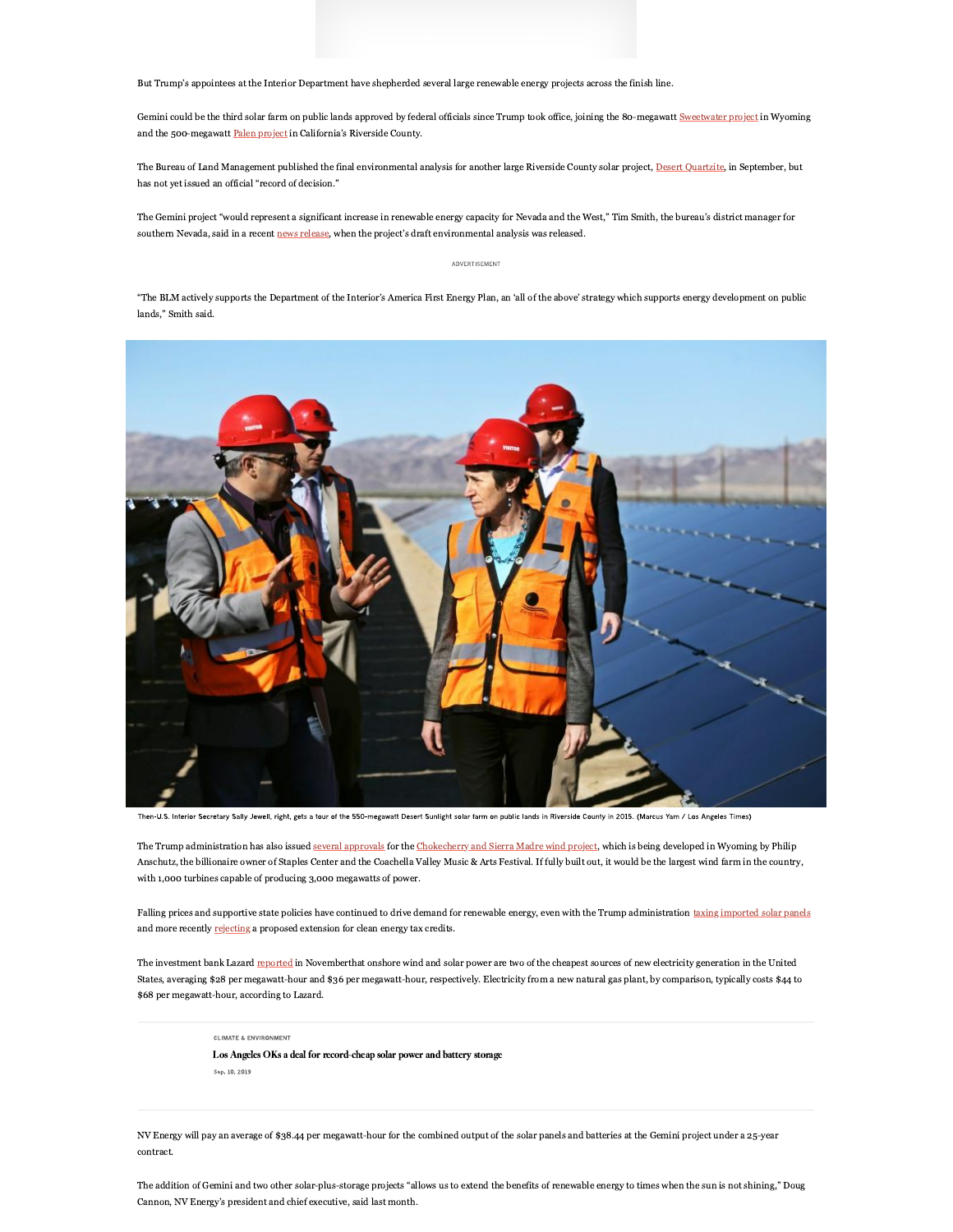But Trump's appointees at the Interior Department have shepherded several large renewable energy projects across the finish line.

Gemini could be the third solar farm on public lands approved by federal officials since Trump took office, joining the 80-megawatt Sweetwater project in Wyoming and the 500-megawatt Palen project in California's Riverside County.

The Bureau of Land Management published the final environmental analysis for another large Riverside County solar project, Desert Quartzite, in September, but has not yet issued an official "record of decision."

The Gemini project "would represent a significant increase in renewable energy capacity for Nevada and the West," Tim Smith, the bureau's district manager for southern Nevada, said in a recent news release, when the project's draft environmental analysis was released.

### ADVERTISEMENT

"The BLM actively supports the Department of the Interior's America First Energy Plan, an 'all of the above' strategy which supports energy development on public lands " Smith said



Then-U.S. Interior Secretary Sally Jewell, right, gets a tour of the 550-megawatt Desert Sunlight solar farm on public lands in Riverside County in 2015. (Marcus Yam / Los Angeles Times)

The Trump administration has also issued several approvals for the Chokecherry and Sierra Madre wind project, which is being developed in Wyoming by Philip Anschutz, the billionaire owner of Staples Center and the Coachella Valley Music & Arts Festival. If fully built out, it would be the largest wind farm in the country, with 1,000 turbines capable of producing 3,000 megawatts of power.

Falling prices and supportive state policies have continued to drive demand for renewable energy, even with the Trump administration taxing imported solar panels and more recently rejecting a proposed extension for clean energy tax credits.

The investment bank Lazard reported in Novemberthat onshore wind and solar power are two of the cheapest sources of new electricity generation in the United States, averaging \$28 per megawatt-hour and \$36 per megawatt-hour, respectively. Electricity from a new natural gas plant, by comparison, typically costs \$44 to \$68 per megawatt-hour, according to Lazard.

**CLIMATE & ENVIRONMENT** 

Los Angeles OKs a deal for record-cheap solar power and battery storage Sep. 10, 2019

NV Energy will pay an average of \$38.44 per megawatt-hour for the combined output of the solar panels and batteries at the Gemini project under a 25-year contract.

The addition of Gemini and two other solar-plus-storage projects "allows us to extend the benefits of renewable energy to times when the sun is not shining," Doug Cannon, NV Energy's president and chief executive, said last month.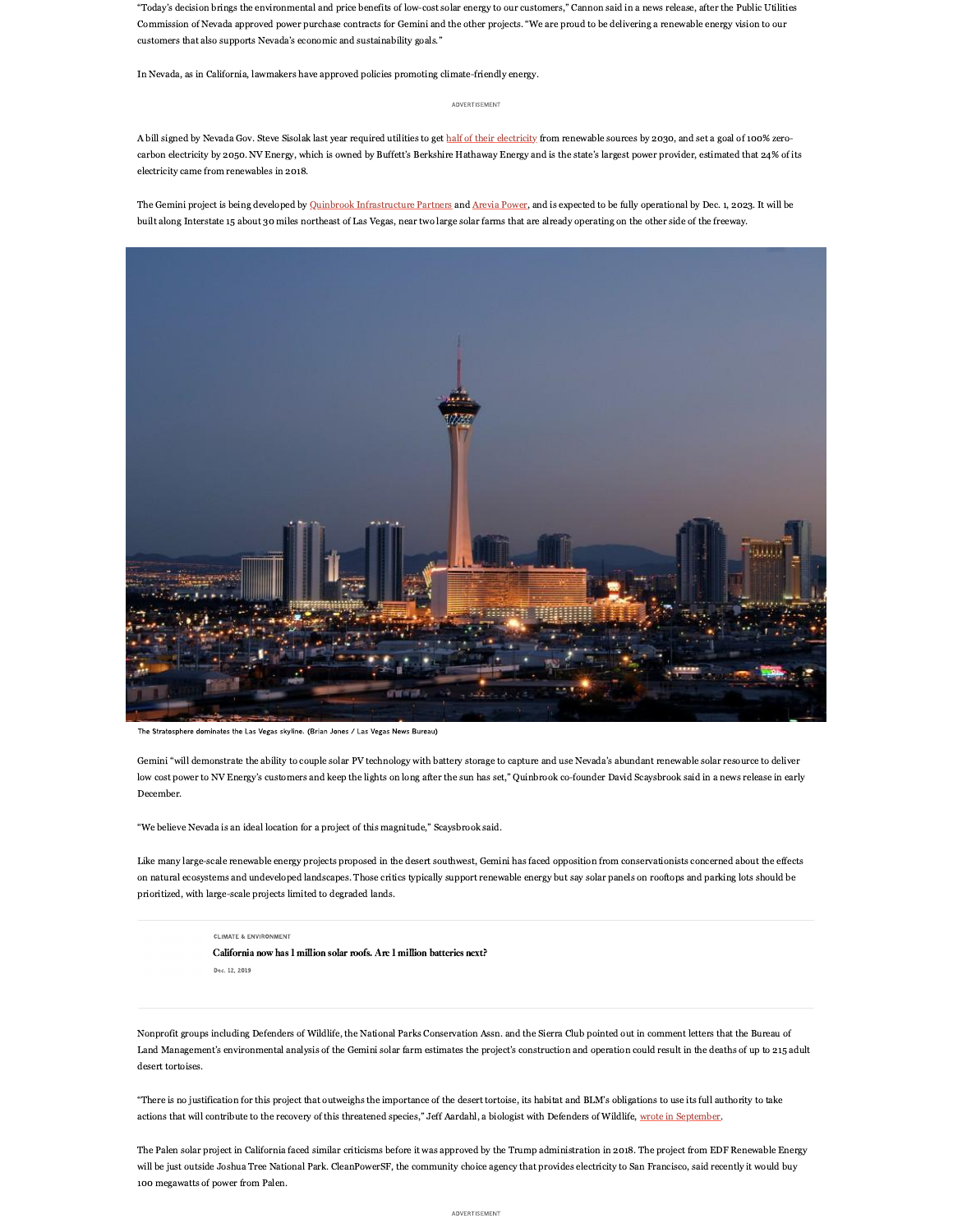"Today's decision brings the environmental and price benefits of low-cost solar energy to our customers," Cannon said in a news release, after the Public Utilities Commission of Nevada approved power purchase contracts for Gemini and the other projects. "We are proud to be delivering a renewable energy vision to our customers that also supports Nevada's economic and sustainability goals."

In Nevada, as in California, lawmakers have approved policies promoting climate-friendly energy.

#### ADVERTISEMENT

A bill signed by Nevada Gov. Steve Sisolak last year required utilities to get half of their electricity from renewable sources by 2030, and set a goal of 100% zerocarbon electricity by 2050. NV Energy, which is owned by Buffett's Berkshire Hathaway Energy and is the state's largest power provider, estimated that 24% of its electricity came from renewables in 2018.

The Gemini project is being developed by Quinbrook Infrastructure Partners and Arevia Power, and is expected to be fully operational by Dec. 1, 2023. It will be built along Interstate 15 about 30 miles northeast of Las Vegas, near two large solar farms that are already operating on the other side of the freeway.



The Stratosphere dominates the Las Vegas skyline. (Brian Jones / Las Vegas News Bureau)

Gemini "will demonstrate the ability to couple solar PV technology with battery storage to capture and use Nevada's abundant renewable solar resource to deliver low cost power to NV Energy's customers and keep the lights on long after the sun has set," Quinbrook co-founder David Scaysbrook said in a news release in early December.

"We believe Nevada is an ideal location for a project of this magnitude," Scaysbrook said.

Like many large-scale renewable energy projects proposed in the desert southwest, Gemini has faced opposition from conservationists concerned about the effects on natural ecosystems and undeveloped landscapes. Those critics typically support renewable energy but say solar panels on rooftops and parking lots should be prioritized, with large-scale projects limited to degraded lands.

**CLIMATE & ENVIRONMENT** 

California now has 1 million solar roofs. Are 1 million batteries next? Dec. 12, 2019

Nonprofit groups including Defenders of Wildlife, the National Parks Conservation Assn. and the Sierra Club pointed out in comment letters that the Bureau of Land Management's environmental analysis of the Gemini solar farm estimates the project's construction and operation could result in the deaths of up to 215 adult desert tortoises.

"There is no justification for this project that outweighs the importance of the desert tortoise, its habitat and BLM's obligations to use its full authority to take actions that will contribute to the recovery of this threatened species," Jeff Aardahl, a biologist with Defenders of Wildlife, wrote in September.

The Palen solar project in California faced similar criticisms before it was approved by the Trump administration in 2018. The project from EDF Renewable Energy will be just outside Joshua Tree National Park. CleanPowerSF, the community choice agency that provides electricity to San Francisco, said recently it would buy 100 megawatts of power from Palen.